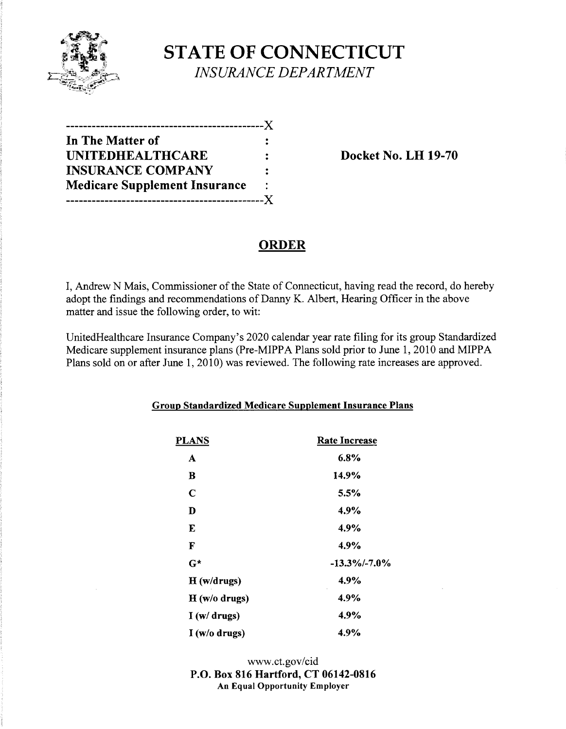

**STATE OF CONNECTICUT** *INSURANCE DEPARTMENT* 

| ------------                         |                |
|--------------------------------------|----------------|
| In The Matter of                     |                |
| <b>UNITEDHEALTHCARE</b>              | 2              |
| <b>INSURANCE COMPANY</b>             | $\ddot{\cdot}$ |
| <b>Medicare Supplement Insurance</b> | $\bullet$      |
| --------------                       |                |

**Docket No. LH 19-70** 

## **ORDER**

I, Andrew N Mais, Commissioner of the State of Connecticut, having read the record, do hereby adopt the findings and recommendations of Danny K. Albert, Hearing Officer in the above matter and issue the following order, to wit:

UnitedHealthcare Insurance Company's 2020 calendar year rate filing for its group Standardized Medicare supplement insurance plans (Pre-MIPPA Plans sold prior to June 1, 2010 and MIPPA Plans sold on or after June 1, 2010) was reviewed. The following rate increases are approved.

| PLANS         | <b>Rate Increase</b> |
|---------------|----------------------|
| A             | 6.8%                 |
| B             | 14.9%                |
| C             | 5.5%                 |
| D             | 4.9%                 |
| E             | 4.9%                 |
| F             | 4.9%                 |
| $G^*$         | $-13.3\% - 7.0\%$    |
| H(w/drugs)    | 4.9%                 |
| H (w/o drugs) | 4.9%                 |
| I(w/drugs)    | 4.9%                 |
| I(w/o drugs)  | 4.9%                 |

**Group Standardized Medicare Supplement Insurance Plans** 

www.ct.gov/cid **P.O. Box 816 Hartford, CT 06142-0816 An Equal Opportunity Employer**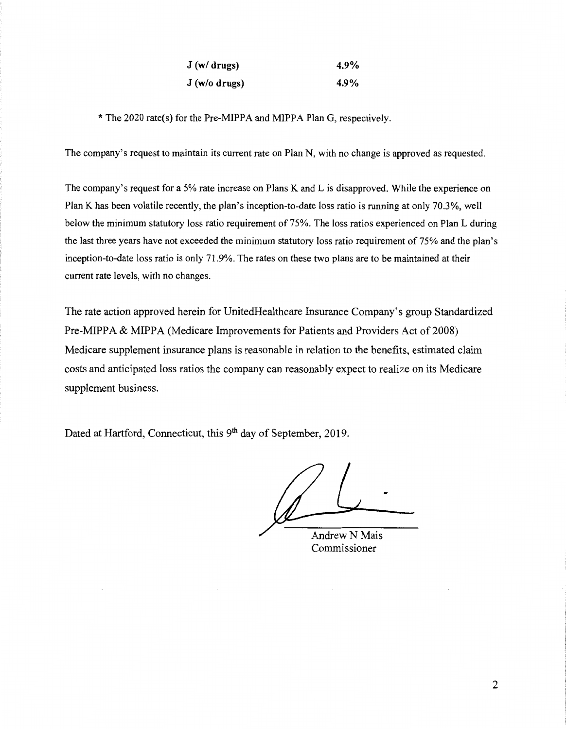| J(w/drugs)    | 4.9% |
|---------------|------|
| J (w/o drugs) | 4.9% |

\* The 2020 rate(s) for the Pre-MIPPA and MIPPA Plan G, respectively.

The company's request to maintain its current rate on Plan N, with no change is approved as requested.

The company's request for a 5% rate increase on Plans K and L is disapproved. While the experience on Plan K has been volatile recently, the plan's inception-to-date loss ratio is running at only 70.3%, well below the minimum statutory loss ratio requirement of 75%. The loss ratios experienced on Plan L during the last three years have not exceeded the minimum statutory loss ratio requirement of 75% and the plan's inception-to-date loss ratio is only 71.9%. The rates on these two plans are to be maintained at their current rate levels, with no changes.

The rate action approved herein for UnitedHealthcare Insurance Company's group Standardized Pre-MIPPA & MIPPA (Medicare Improvements for Patients and Providers Act of 2008) Medicare supplement insurance plans is reasonable in relation to the benefits, estimated claim costs and anticipated loss ratios the company can reasonably expect to realize on its Medicare supplement business.

Dated at Hartford, Connecticut, this 9<sup>th</sup> day of September, 2019.

Andrew N Mais Commissioner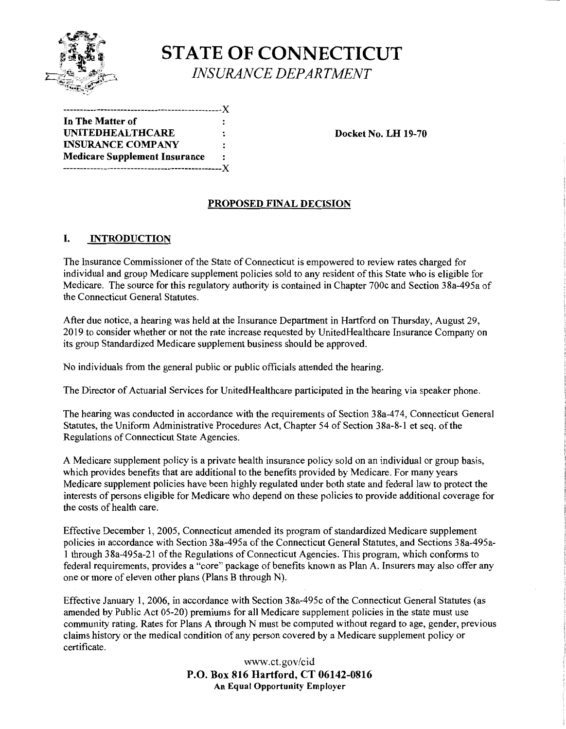

# **STATE OF CONNECTICUT**  *INSURANCE DEPARTMENT*

-----------------------------------------------)( **In The Matter of UNITEDHEALTHCARE** : Docket No. LH 19-70 **INSURANCE COMPANY**  $\ddot{\cdot}$ **Medicare Supplement Insurance**  -----------------------------------------------)(

## **PROPOSED FINAL DECISION**

## I. **INTRODUCTION**

The Insurance Commissioner of the State of Connecticut is empowered to review rates charged for individual and group Medicare supplement policies sold to any resident of this State who is eligible for Medicare. The source for this regulatory authority is contained in Chapter 700c and Section 38a-495a of the Connecticut General Statutes.

After due notice, a hearing was held at the Insurance Department in Hartford on Thursday, August 29, 2019 to consider whether or not the rate increase requested by UnitedHealthcare Insurance Company on its group Standardized Medicare supplement business should be approved.

No individuals from the general public or public officials attended the hearing.

The Director of Actuarial Services for UnitedHealthcare participated in the hearing via speaker phone.

The hearing was conducted in accordance with the requirements of Section 38a-474, Connecticut General Statutes, the Uniform Administrative Procedures Act, Chapter 54 of Section 38a-8-1 et seq. of the Regulations of Connecticut State Agencies.

A Medicare supplement policy is a private health insurance policy sold on an individual or group basis, which provides benefits that are additional to the benefits provided by Medicare. For many years Medicare supplement policies have been highly regulated under both state and federal law to protect the interests of persons eligible for Medicare who depend on these policies to provide additional coverage for the costs of health care.

Effective December 1, 2005, Connecticut amended its program of standardized Medicare supplement policies in accordance with Section 38a-495a of the Connecticut General Statutes, and Sections 38a-495a-1 through 38a-495a-21 of the Regulations of Connecticut Agencies. This program, which conforms to federal requirements, provides a "core" package of benefits known as Plan A. Insurers may also offer any one or more of eleven other plans (Plans B through N).

Effective January 1, 2006, in accordance with Section 38a-495c of the Connecticut General Statutes (as amended by Public Act 05-20) premiums for all Medicare supplement policies in the state must use community rating. Rates for Plans A through N must be computed without regard to age, gender, previous claims history or the medical condition of any person covered by a Medicare supplement policy or certificate.

> www.ct.gov/cid **P.O. Box 816 Hartford, CT 06142-0816 An Equal Opportunity Employer**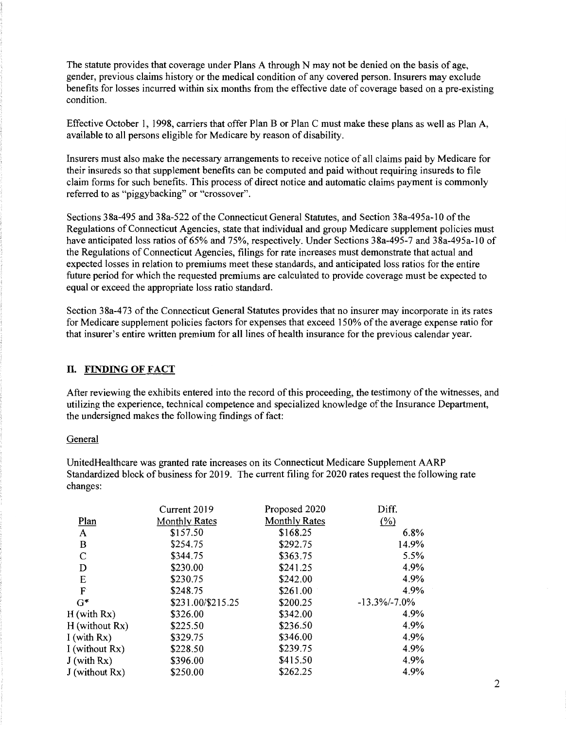The statute provides that coverage under Plans A through N may not be denied on the basis of age, gender, previous claims history or the medical condition of any covered person. Insurers may exclude benefits for losses incurred within six months from the effective date of coverage based on a pre-existing condition.

Effective October I, 1998, carriers that offer Plan B or Plan C must make these plans as well as Plan A, available to all persons eligible for Medicare by reason of disability.

Insurers must also make the necessary arrangements to receive notice of all claims paid by Medicare for their insureds so that supplement benefits can be computed and paid without requiring insureds to file claim forms for such benefits. This process of direct notice and automatic claims payment is commonly referred to as "piggybacking" or "crossover".

Sections 38a-495 and 38a-522 of the Connecticut General Statutes, and Section 38a-495a-10 of the Regulations of Connecticut Agencies, state that individual and group Medicare supplement policies must have anticipated loss ratios of 65% and 75%, respectively. Under Sections 38a-495-7 and 38a-495a-10 of the Regulations of Connecticut Agencies, filings for rate increases must demonstrate that actual and expected losses in relation to premiums meet these standards, and anticipated loss ratios for the entire future period for which the requested premiums are calculated to provide coverage must be expected to equal or exceed the appropriate loss ratio standard.

Section 3 8a-4 73 of the Connecticut General Statutes provides that no insurer may incorporate in its rates for Medicare supplement policies factors for expenses that exceed 150% of the average expense ratio for that insurer's entire written premium for all lines of health insurance for the previous calendar year.

### II. **FINDING OF FACT**

After reviewing the exhibits entered into the record of this proceeding, the testimony of the witnesses, and utilizing the experience, technical competence and specialized knowledge of the Insurance Department, the undersigned makes the following findings of fact:

#### **General**

UnitedHealthcare was granted rate increases on its Connecticut Medicare Supplement AARP Standardized block of business for 2019. The current filing for 2020 rates request the following rate changes:

|                  | Current 2019         | Proposed 2020 | Diff.               |
|------------------|----------------------|---------------|---------------------|
| Plan             | <b>Monthly Rates</b> | Monthly Rates | $\frac{(\%)}{(\%)}$ |
| A                | \$157.50             | \$168.25      | 6.8%                |
| B                | \$254.75             | \$292.75      | 14.9%               |
| C                | \$344.75             | \$363.75      | 5.5%                |
| D                | \$230.00             | \$241.25      | 4.9%                |
| E                | \$230.75             | \$242.00      | 4.9%                |
| $\mathbf{F}$     | \$248.75             | \$261.00      | 4.9%                |
| $G^*$            | \$231.00/\$215.25    | \$200.25      | $-13.3\%/-7.0\%$    |
| $H$ (with $Rx$ ) | \$326.00             | \$342.00      | 4.9%                |
| H (without Rx)   | \$225.50             | \$236.50      | 4.9%                |
| I (with $Rx$ )   | \$329.75             | \$346.00      | 4.9%                |
| I (without Rx)   | \$228.50             | \$239.75      | 4.9%                |
| $J$ (with $Rx$ ) | \$396.00             | \$415.50      | 4.9%                |
| J (without Rx)   | \$250.00             | \$262.25      | 4.9%                |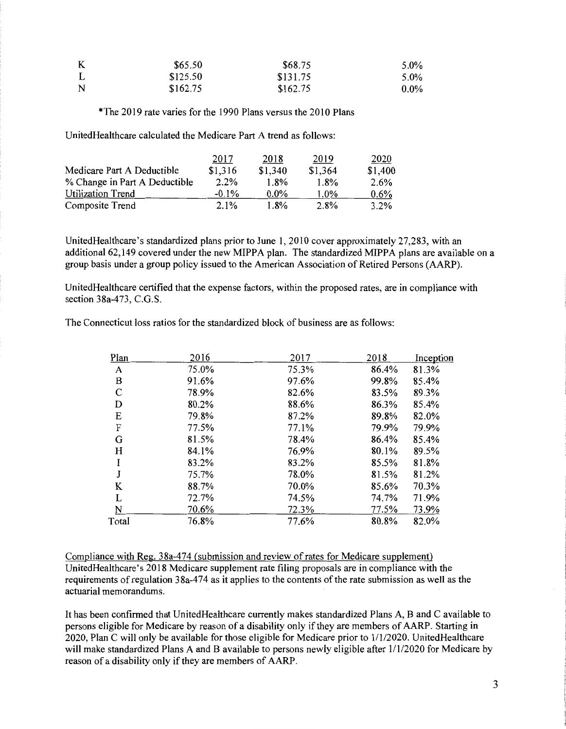| K | \$65.50  | \$68.75  | $5.0\%$ |
|---|----------|----------|---------|
|   | \$125.50 | \$131.75 | 5.0%    |
| N | \$162.75 | \$162.75 | $0.0\%$ |

\*The 2019 rate varies for the 1990 Plans versus the 2010 Plans

UnitedHealthcare calculated the Medicare Part A trend as follows:

|                               | 2017     | 2018    | 2019    | 2020    |
|-------------------------------|----------|---------|---------|---------|
| Medicare Part A Deductible    | \$1,316  | \$1,340 | \$1,364 | \$1,400 |
| % Change in Part A Deductible | 2.2%     | 1.8%    | 1.8%    | 2.6%    |
| <b>Utilization Trend</b>      | $-0.1\%$ | $0.0\%$ | 1.0%    | $0.6\%$ |
| Composite Trend               | 2.1%     | 1.8%    | 2.8%    | 3.2%    |

UnitedHealthcare's standardized plans prior to June 1, 2010 cover approximately 27,283, with an additional 62,149 covered under the new MIPPA plan. The standardized MIPPA plans are available on a group basis under a group policy issued to the American Association of Retired Persons (AARP).

UnitedHealthcare certified that the expense factors, within the proposed rates, are in compliance with section 38a-473, C.G.S.

The Connecticut loss ratios for the standardized block of business are as follows:

| Plan         | 2016  | 2017  | 2018  | Inception |
|--------------|-------|-------|-------|-----------|
| A            | 75.0% | 75.3% | 86.4% | 81.3%     |
| B            | 91.6% | 97.6% | 99.8% | 85.4%     |
| $\mathsf{C}$ | 78.9% | 82.6% | 83.5% | 89.3%     |
| D            | 80.2% | 88.6% | 86.3% | 85.4%     |
| E            | 79.8% | 87.2% | 89.8% | 82.0%     |
| F            | 77.5% | 77.1% | 79.9% | 79.9%     |
| G            | 81.5% | 78.4% | 86.4% | 85.4%     |
| H            | 84.1% | 76.9% | 80.1% | 89.5%     |
| I            | 83.2% | 83.2% | 85.5% | 81.8%     |
| J            | 75.7% | 78.0% | 81.5% | 81.2%     |
| K            | 88.7% | 70.0% | 85.6% | 70.3%     |
| L            | 72.7% | 74.5% | 74.7% | 71.9%     |
| N            | 70.6% | 72.3% | 77.5% | 73.9%     |
| Total        | 76.8% | 77.6% | 80.8% | 82.0%     |

Compliance with Reg. 38a-474 (submission and review of rates for Medicare supplement) UnitedHealthcare's 2018 Medicare supplement rate filing proposals are in compliance with the requirements of regulation 38a-474 as it applies to the contents of the rate submission as well as the actuarial memorandums.

It has been confirmed that UnitedHealthcare currently makes standardized Plans A, B and C available to persons eligible for Medicare by reason of a disability only if they are members of AARP. Starting in 2020, Plan C will only be available for those eligible for Medicare prior to 1/1/2020. UnitedHealthcare will make standardized Plans A and B available to persons newly eligible after  $1/1/2020$  for Medicare by reason of a disability only if they are members of AARP.